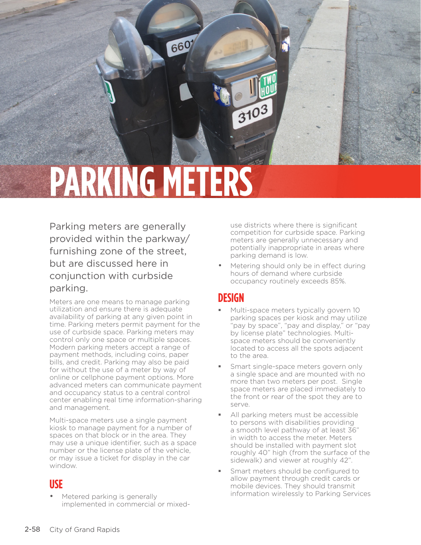

6607

Parking meters are generally provided within the parkway/ furnishing zone of the street, but are discussed here in conjunction with curbside parking.

Meters are one means to manage parking utilization and ensure there is adequate availability of parking at any given point in time. Parking meters permit payment for the use of curbside space. Parking meters may control only one space or multiple spaces. Modern parking meters accept a range of payment methods, including coins, paper bills, and credit. Parking may also be paid for without the use of a meter by way of online or cellphone payment options. More advanced meters can communicate payment and occupancy status to a central control center enabling real time information-sharing and management.

Multi-space meters use a single payment kiosk to manage payment for a number of spaces on that block or in the area. They may use a unique identifier, such as a space number or the license plate of the vehicle, or may issue a ticket for display in the car window.

#### **USE**

Metered parking is generally implemented in commercial or mixed-

use districts where there is significant competition for curbside space. Parking meters are generally unnecessary and potentially inappropriate in areas where parking demand is low.

Metering should only be in effect during hours of demand where curbside occupancy routinely exceeds 85%.

## **DESIGN**

3103

- Multi-space meters typically govern 10 parking spaces per kiosk and may utilize "pay by space", "pay and display," or "pay by license plate" technologies. Multispace meters should be conveniently located to access all the spots adjacent to the area.
- Smart single-space meters govern only a single space and are mounted with no more than two meters per post. Single space meters are placed immediately to the front or rear of the spot they are to serve.
- All parking meters must be accessible to persons with disabilities providing a smooth level pathway of at least 36" in width to access the meter. Meters should be installed with payment slot roughly 40" high (from the surface of the sidewalk) and viewer at roughly 42".
- Smart meters should be configured to allow payment through credit cards or mobile devices. They should transmit information wirelessly to Parking Services